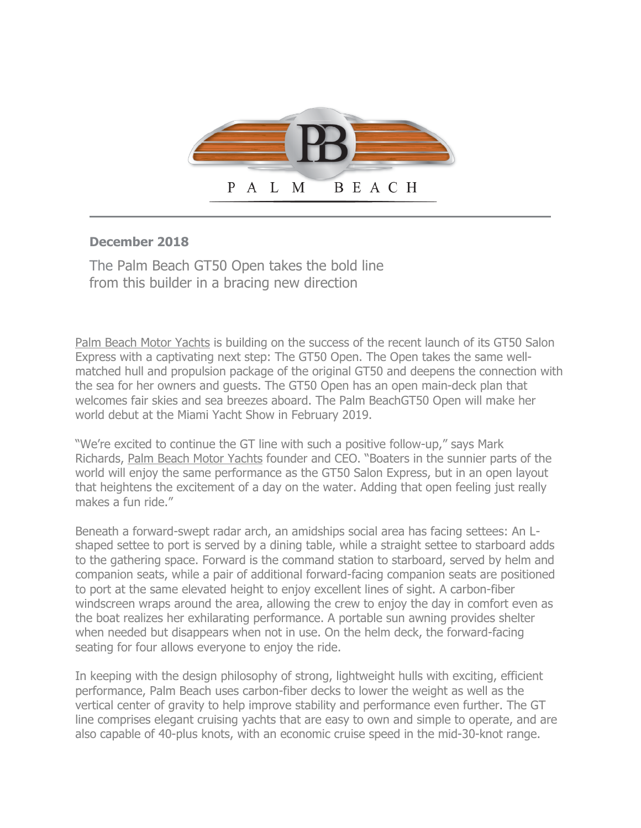

## **December 2018**

The Palm Beach GT50 Open takes the bold line from this builder in a bracing new direction

Palm Beach Motor Yachts is building on the success of the recent launch of its GT50 Salon Express with a captivating next step: The GT50 Open. The Open takes the same wellmatched hull and propulsion package of the original GT50 and deepens the connection with the sea for her owners and guests. The GT50 Open has an open main-deck plan that welcomes fair skies and sea breezes aboard. The Palm BeachGT50 Open will make her world debut at the Miami Yacht Show in February 2019.

"We're excited to continue the GT line with such a positive follow-up," says Mark Richards, Palm Beach Motor Yachts founder and CEO. "Boaters in the sunnier parts of the world will enjoy the same performance as the GT50 Salon Express, but in an open layout that heightens the excitement of a day on the water. Adding that open feeling just really makes a fun ride."

Beneath a forward-swept radar arch, an amidships social area has facing settees: An Lshaped settee to port is served by a dining table, while a straight settee to starboard adds to the gathering space. Forward is the command station to starboard, served by helm and companion seats, while a pair of additional forward-facing companion seats are positioned to port at the same elevated height to enjoy excellent lines of sight. A carbon-fiber windscreen wraps around the area, allowing the crew to enjoy the day in comfort even as the boat realizes her exhilarating performance. A portable sun awning provides shelter when needed but disappears when not in use. On the helm deck, the forward-facing seating for four allows everyone to enjoy the ride.

In keeping with the design philosophy of strong, lightweight hulls with exciting, efficient performance, Palm Beach uses carbon-fiber decks to lower the weight as well as the vertical center of gravity to help improve stability and performance even further. The GT line comprises elegant cruising yachts that are easy to own and simple to operate, and are also capable of 40-plus knots, with an economic cruise speed in the mid-30-knot range.